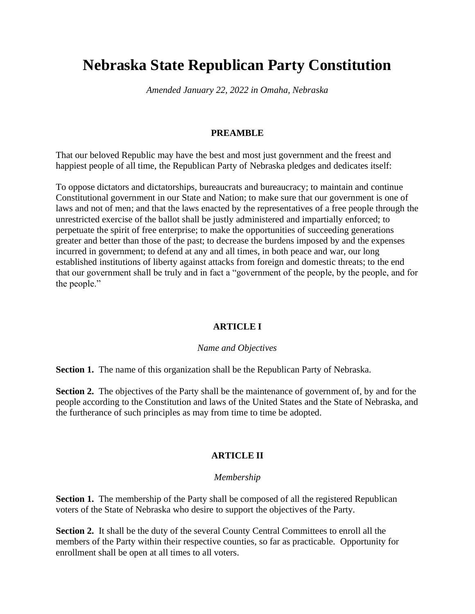# **Nebraska State Republican Party Constitution**

*Amended January 22, 2022 in Omaha, Nebraska* 

#### **PREAMBLE**

That our beloved Republic may have the best and most just government and the freest and happiest people of all time, the Republican Party of Nebraska pledges and dedicates itself:

To oppose dictators and dictatorships, bureaucrats and bureaucracy; to maintain and continue Constitutional government in our State and Nation; to make sure that our government is one of laws and not of men; and that the laws enacted by the representatives of a free people through the unrestricted exercise of the ballot shall be justly administered and impartially enforced; to perpetuate the spirit of free enterprise; to make the opportunities of succeeding generations greater and better than those of the past; to decrease the burdens imposed by and the expenses incurred in government; to defend at any and all times, in both peace and war, our long established institutions of liberty against attacks from foreign and domestic threats; to the end that our government shall be truly and in fact a "government of the people, by the people, and for the people."

#### **ARTICLE I**

#### *Name and Objectives*

**Section 1.** The name of this organization shall be the Republican Party of Nebraska.

**Section 2.** The objectives of the Party shall be the maintenance of government of, by and for the people according to the Constitution and laws of the United States and the State of Nebraska, and the furtherance of such principles as may from time to time be adopted.

#### **ARTICLE II**

#### *Membership*

**Section 1.** The membership of the Party shall be composed of all the registered Republican voters of the State of Nebraska who desire to support the objectives of the Party.

**Section 2.** It shall be the duty of the several County Central Committees to enroll all the members of the Party within their respective counties, so far as practicable. Opportunity for enrollment shall be open at all times to all voters.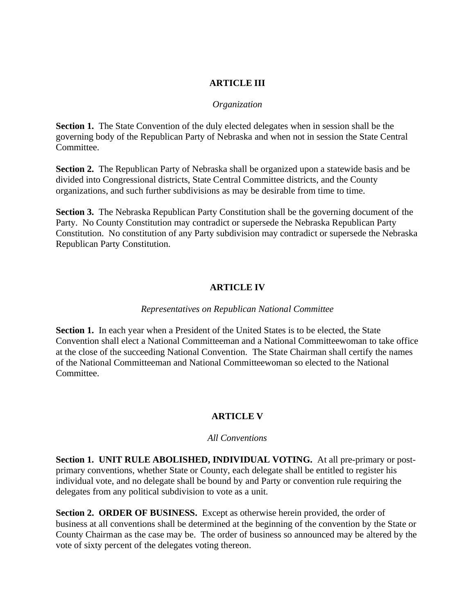## **ARTICLE III**

#### *Organization*

**Section 1.** The State Convention of the duly elected delegates when in session shall be the governing body of the Republican Party of Nebraska and when not in session the State Central Committee.

**Section 2.** The Republican Party of Nebraska shall be organized upon a statewide basis and be divided into Congressional districts, State Central Committee districts, and the County organizations, and such further subdivisions as may be desirable from time to time.

**Section 3.** The Nebraska Republican Party Constitution shall be the governing document of the Party. No County Constitution may contradict or supersede the Nebraska Republican Party Constitution. No constitution of any Party subdivision may contradict or supersede the Nebraska Republican Party Constitution.

## **ARTICLE IV**

#### *Representatives on Republican National Committee*

Section 1. In each year when a President of the United States is to be elected, the State Convention shall elect a National Committeeman and a National Committeewoman to take office at the close of the succeeding National Convention. The State Chairman shall certify the names of the National Committeeman and National Committeewoman so elected to the National **Committee** 

# **ARTICLE V**

#### *All Conventions*

**Section 1. UNIT RULE ABOLISHED, INDIVIDUAL VOTING.** At all pre-primary or postprimary conventions, whether State or County, each delegate shall be entitled to register his individual vote, and no delegate shall be bound by and Party or convention rule requiring the delegates from any political subdivision to vote as a unit.

**Section 2. ORDER OF BUSINESS.** Except as otherwise herein provided, the order of business at all conventions shall be determined at the beginning of the convention by the State or County Chairman as the case may be. The order of business so announced may be altered by the vote of sixty percent of the delegates voting thereon.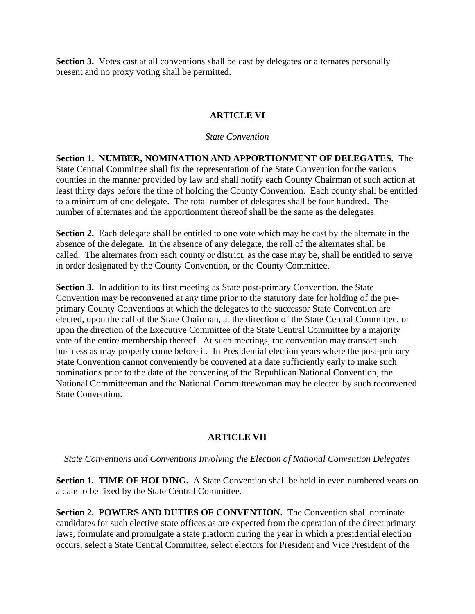**Section 3.** Votes cast at all conventions shall be cast by delegates or alternates personally present and no proxy voting shall be permitted.

## **ARTICLE VI**

#### *State Convention*

**Section 1. NUMBER, NOMINATION AND APPORTIONMENT OF DELEGATES.** The State Central Committee shall fix the representation of the State Convention for the various counties in the manner provided by law and shall notify each County Chairman of such action at least thirty days before the time of holding the County Convention. Each county shall be entitled to a minimum of one delegate. The total number of delegates shall be four hundred. The number of alternates and the apportionment thereof shall be the same as the delegates.

**Section 2.** Each delegate shall be entitled to one vote which may be cast by the alternate in the absence of the delegate. In the absence of any delegate, the roll of the alternates shall be called. The alternates from each county or district, as the case may be, shall be entitled to serve in order designated by the County Convention, or the County Committee.

**Section 3.** In addition to its first meeting as State post-primary Convention, the State Convention may be reconvened at any time prior to the statutory date for holding of the preprimary County Conventions at which the delegates to the successor State Convention are elected, upon the call of the State Chairman, at the direction of the State Central Committee, or upon the direction of the Executive Committee of the State Central Committee by a majority vote of the entire membership thereof. At such meetings, the convention may transact such business as may properly come before it. In Presidential election years where the post-primary State Convention cannot conveniently be convened at a date sufficiently early to make such nominations prior to the date of the convening of the Republican National Convention, the National Committeeman and the National Committeewoman may be elected by such reconvened State Convention.

## **ARTICLE VII**

*State Conventions and Conventions Involving the Election of National Convention Delegates*

**Section 1. TIME OF HOLDING.** A State Convention shall be held in even numbered years on a date to be fixed by the State Central Committee.

**Section 2. POWERS AND DUTIES OF CONVENTION.** The Convention shall nominate candidates for such elective state offices as are expected from the operation of the direct primary laws, formulate and promulgate a state platform during the year in which a presidential election occurs, select a State Central Committee, select electors for President and Vice President of the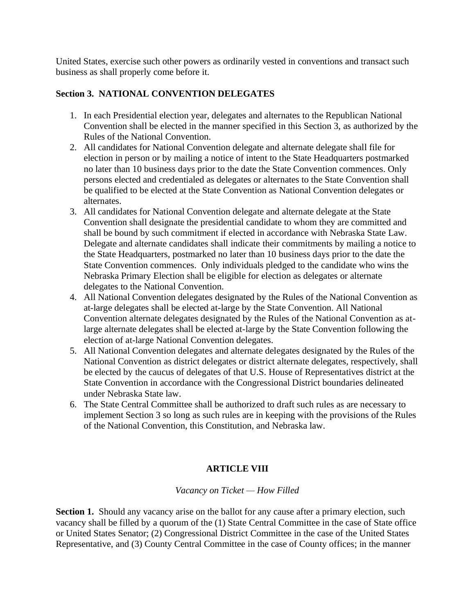United States, exercise such other powers as ordinarily vested in conventions and transact such business as shall properly come before it.

## **Section 3. NATIONAL CONVENTION DELEGATES**

- 1. In each Presidential election year, delegates and alternates to the Republican National Convention shall be elected in the manner specified in this Section 3, as authorized by the Rules of the National Convention.
- 2. All candidates for National Convention delegate and alternate delegate shall file for election in person or by mailing a notice of intent to the State Headquarters postmarked no later than 10 business days prior to the date the State Convention commences. Only persons elected and credentialed as delegates or alternates to the State Convention shall be qualified to be elected at the State Convention as National Convention delegates or alternates.
- 3. All candidates for National Convention delegate and alternate delegate at the State Convention shall designate the presidential candidate to whom they are committed and shall be bound by such commitment if elected in accordance with Nebraska State Law. Delegate and alternate candidates shall indicate their commitments by mailing a notice to the State Headquarters, postmarked no later than 10 business days prior to the date the State Convention commences. Only individuals pledged to the candidate who wins the Nebraska Primary Election shall be eligible for election as delegates or alternate delegates to the National Convention.
- 4. All National Convention delegates designated by the Rules of the National Convention as at-large delegates shall be elected at-large by the State Convention. All National Convention alternate delegates designated by the Rules of the National Convention as atlarge alternate delegates shall be elected at-large by the State Convention following the election of at-large National Convention delegates.
- 5. All National Convention delegates and alternate delegates designated by the Rules of the National Convention as district delegates or district alternate delegates, respectively, shall be elected by the caucus of delegates of that U.S. House of Representatives district at the State Convention in accordance with the Congressional District boundaries delineated under Nebraska State law.
- 6. The State Central Committee shall be authorized to draft such rules as are necessary to implement Section 3 so long as such rules are in keeping with the provisions of the Rules of the National Convention, this Constitution, and Nebraska law.

# **ARTICLE VIII**

*Vacancy on Ticket — How Filled*

**Section 1.** Should any vacancy arise on the ballot for any cause after a primary election, such vacancy shall be filled by a quorum of the (1) State Central Committee in the case of State office or United States Senator; (2) Congressional District Committee in the case of the United States Representative, and (3) County Central Committee in the case of County offices; in the manner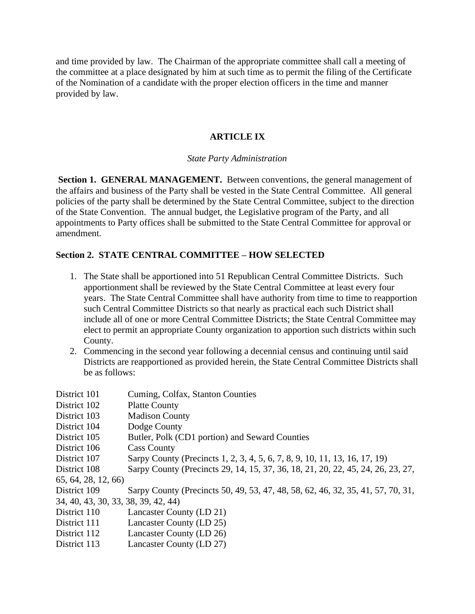and time provided by law. The Chairman of the appropriate committee shall call a meeting of the committee at a place designated by him at such time as to permit the filing of the Certificate of the Nomination of a candidate with the proper election officers in the time and manner provided by law.

## **ARTICLE IX**

#### *State Party Administration*

**Section 1. GENERAL MANAGEMENT.** Between conventions, the general management of the affairs and business of the Party shall be vested in the State Central Committee. All general policies of the party shall be determined by the State Central Committee, subject to the direction of the State Convention. The annual budget, the Legislative program of the Party, and all appointments to Party offices shall be submitted to the State Central Committee for approval or amendment.

## **Section 2. STATE CENTRAL COMMITTEE – HOW SELECTED**

- 1. The State shall be apportioned into 51 Republican Central Committee Districts. Such apportionment shall be reviewed by the State Central Committee at least every four years. The State Central Committee shall have authority from time to time to reapportion such Central Committee Districts so that nearly as practical each such District shall include all of one or more Central Committee Districts; the State Central Committee may elect to permit an appropriate County organization to apportion such districts within such County.
- 2. Commencing in the second year following a decennial census and continuing until said Districts are reapportioned as provided herein, the State Central Committee Districts shall be as follows:

| Cuming, Colfax, Stanton Counties                                                |  |  |
|---------------------------------------------------------------------------------|--|--|
| <b>Platte County</b>                                                            |  |  |
| <b>Madison County</b>                                                           |  |  |
| Dodge County                                                                    |  |  |
| Butler, Polk (CD1 portion) and Seward Counties                                  |  |  |
| <b>Cass County</b>                                                              |  |  |
| Sarpy County (Precincts 1, 2, 3, 4, 5, 6, 7, 8, 9, 10, 11, 13, 16, 17, 19)      |  |  |
| Sarpy County (Precincts 29, 14, 15, 37, 36, 18, 21, 20, 22, 45, 24, 26, 23, 27, |  |  |
| 65, 64, 28, 12, 66)                                                             |  |  |
| Sarpy County (Precincts 50, 49, 53, 47, 48, 58, 62, 46, 32, 35, 41, 57, 70, 31, |  |  |
| 34, 40, 43, 30, 33, 38, 39, 42, 44)                                             |  |  |
| Lancaster County (LD 21)                                                        |  |  |
| Lancaster County (LD 25)                                                        |  |  |
| Lancaster County (LD 26)                                                        |  |  |
| Lancaster County (LD 27)                                                        |  |  |
|                                                                                 |  |  |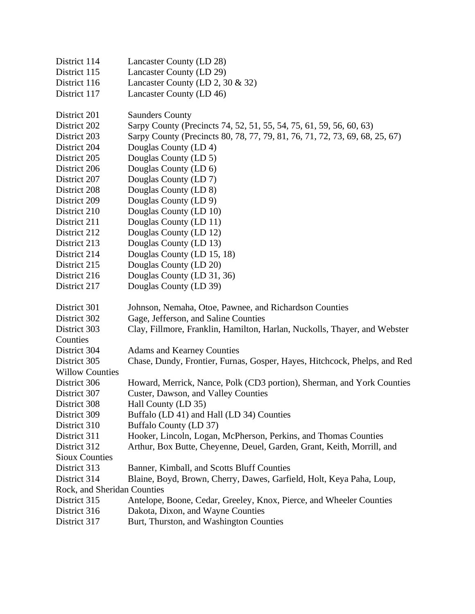| District 114                | Lancaster County (LD 28)                                                    |
|-----------------------------|-----------------------------------------------------------------------------|
| District 115                | Lancaster County (LD 29)                                                    |
| District 116                | Lancaster County (LD 2, 30 $\&$ 32)                                         |
| District 117                | Lancaster County (LD 46)                                                    |
|                             |                                                                             |
| District 201                | <b>Saunders County</b>                                                      |
| District 202                | Sarpy County (Precincts 74, 52, 51, 55, 54, 75, 61, 59, 56, 60, 63)         |
| District 203                | Sarpy County (Precincts 80, 78, 77, 79, 81, 76, 71, 72, 73, 69, 68, 25, 67) |
| District 204                | Douglas County (LD 4)                                                       |
| District 205                | Douglas County (LD 5)                                                       |
| District 206                | Douglas County (LD 6)                                                       |
| District 207                | Douglas County (LD 7)                                                       |
| District 208                | Douglas County (LD 8)                                                       |
| District 209                | Douglas County (LD 9)                                                       |
| District 210                | Douglas County (LD 10)                                                      |
| District 211                | Douglas County (LD 11)                                                      |
| District 212                | Douglas County (LD 12)                                                      |
| District 213                | Douglas County (LD 13)                                                      |
| District 214                | Douglas County (LD 15, 18)                                                  |
| District 215                | Douglas County (LD 20)                                                      |
| District 216                | Douglas County (LD 31, 36)                                                  |
| District 217                | Douglas County (LD 39)                                                      |
|                             |                                                                             |
| District 301                | Johnson, Nemaha, Otoe, Pawnee, and Richardson Counties                      |
| District 302                | Gage, Jefferson, and Saline Counties                                        |
| District 303                | Clay, Fillmore, Franklin, Hamilton, Harlan, Nuckolls, Thayer, and Webster   |
| Counties                    |                                                                             |
| District 304                | <b>Adams and Kearney Counties</b>                                           |
| District 305                | Chase, Dundy, Frontier, Furnas, Gosper, Hayes, Hitchcock, Phelps, and Red   |
| <b>Willow Counties</b>      |                                                                             |
| District 306                | Howard, Merrick, Nance, Polk (CD3 portion), Sherman, and York Counties      |
| District 307                | Custer, Dawson, and Valley Counties                                         |
| District 308                | Hall County (LD 35)                                                         |
| District 309                | Buffalo (LD 41) and Hall (LD 34) Counties                                   |
| District 310                | Buffalo County (LD 37)                                                      |
| District 311                | Hooker, Lincoln, Logan, McPherson, Perkins, and Thomas Counties             |
| District 312                | Arthur, Box Butte, Cheyenne, Deuel, Garden, Grant, Keith, Morrill, and      |
| <b>Sioux Counties</b>       |                                                                             |
| District 313                | Banner, Kimball, and Scotts Bluff Counties                                  |
| District 314                | Blaine, Boyd, Brown, Cherry, Dawes, Garfield, Holt, Keya Paha, Loup,        |
| Rock, and Sheridan Counties |                                                                             |
| District 315                | Antelope, Boone, Cedar, Greeley, Knox, Pierce, and Wheeler Counties         |
| District 316                | Dakota, Dixon, and Wayne Counties                                           |
| District 317                | Burt, Thurston, and Washington Counties                                     |
|                             |                                                                             |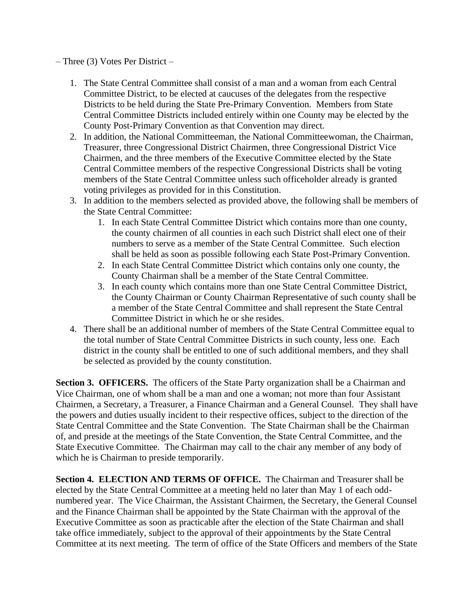- Three (3) Votes Per District
	- 1. The State Central Committee shall consist of a man and a woman from each Central Committee District, to be elected at caucuses of the delegates from the respective Districts to be held during the State Pre-Primary Convention. Members from State Central Committee Districts included entirely within one County may be elected by the County Post-Primary Convention as that Convention may direct.
	- 2. In addition, the National Committeeman, the National Committeewoman, the Chairman, Treasurer, three Congressional District Chairmen, three Congressional District Vice Chairmen, and the three members of the Executive Committee elected by the State Central Committee members of the respective Congressional Districts shall be voting members of the State Central Committee unless such officeholder already is granted voting privileges as provided for in this Constitution.
	- 3. In addition to the members selected as provided above, the following shall be members of the State Central Committee:
		- 1. In each State Central Committee District which contains more than one county, the county chairmen of all counties in each such District shall elect one of their numbers to serve as a member of the State Central Committee. Such election shall be held as soon as possible following each State Post-Primary Convention.
		- 2. In each State Central Committee District which contains only one county, the County Chairman shall be a member of the State Central Committee.
		- 3. In each county which contains more than one State Central Committee District, the County Chairman or County Chairman Representative of such county shall be a member of the State Central Committee and shall represent the State Central Committee District in which he or she resides.
	- 4. There shall be an additional number of members of the State Central Committee equal to the total number of State Central Committee Districts in such county, less one. Each district in the county shall be entitled to one of such additional members, and they shall be selected as provided by the county constitution.

**Section 3. OFFICERS.** The officers of the State Party organization shall be a Chairman and Vice Chairman, one of whom shall be a man and one a woman; not more than four Assistant Chairmen, a Secretary, a Treasurer, a Finance Chairman and a General Counsel. They shall have the powers and duties usually incident to their respective offices, subject to the direction of the State Central Committee and the State Convention. The State Chairman shall be the Chairman of, and preside at the meetings of the State Convention, the State Central Committee, and the State Executive Committee. The Chairman may call to the chair any member of any body of which he is Chairman to preside temporarily.

**Section 4. ELECTION AND TERMS OF OFFICE.** The Chairman and Treasurer shall be elected by the State Central Committee at a meeting held no later than May 1 of each oddnumbered year. The Vice Chairman, the Assistant Chairmen, the Secretary, the General Counsel and the Finance Chairman shall be appointed by the State Chairman with the approval of the Executive Committee as soon as practicable after the election of the State Chairman and shall take office immediately, subject to the approval of their appointments by the State Central Committee at its next meeting. The term of office of the State Officers and members of the State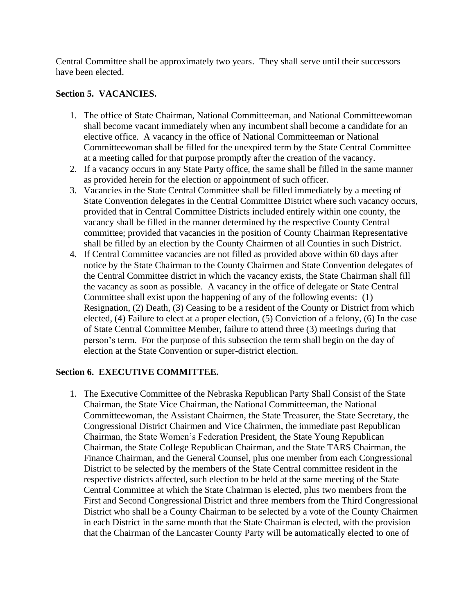Central Committee shall be approximately two years. They shall serve until their successors have been elected.

#### **Section 5. VACANCIES.**

- 1. The office of State Chairman, National Committeeman, and National Committeewoman shall become vacant immediately when any incumbent shall become a candidate for an elective office. A vacancy in the office of National Committeeman or National Committeewoman shall be filled for the unexpired term by the State Central Committee at a meeting called for that purpose promptly after the creation of the vacancy.
- 2. If a vacancy occurs in any State Party office, the same shall be filled in the same manner as provided herein for the election or appointment of such officer.
- 3. Vacancies in the State Central Committee shall be filled immediately by a meeting of State Convention delegates in the Central Committee District where such vacancy occurs, provided that in Central Committee Districts included entirely within one county, the vacancy shall be filled in the manner determined by the respective County Central committee; provided that vacancies in the position of County Chairman Representative shall be filled by an election by the County Chairmen of all Counties in such District.
- 4. If Central Committee vacancies are not filled as provided above within 60 days after notice by the State Chairman to the County Chairmen and State Convention delegates of the Central Committee district in which the vacancy exists, the State Chairman shall fill the vacancy as soon as possible. A vacancy in the office of delegate or State Central Committee shall exist upon the happening of any of the following events: (1) Resignation, (2) Death, (3) Ceasing to be a resident of the County or District from which elected, (4) Failure to elect at a proper election, (5) Conviction of a felony, (6) In the case of State Central Committee Member, failure to attend three (3) meetings during that person's term. For the purpose of this subsection the term shall begin on the day of election at the State Convention or super-district election.

#### **Section 6. EXECUTIVE COMMITTEE.**

1. The Executive Committee of the Nebraska Republican Party Shall Consist of the State Chairman, the State Vice Chairman, the National Committeeman, the National Committeewoman, the Assistant Chairmen, the State Treasurer, the State Secretary, the Congressional District Chairmen and Vice Chairmen, the immediate past Republican Chairman, the State Women's Federation President, the State Young Republican Chairman, the State College Republican Chairman, and the State TARS Chairman, the Finance Chairman, and the General Counsel, plus one member from each Congressional District to be selected by the members of the State Central committee resident in the respective districts affected, such election to be held at the same meeting of the State Central Committee at which the State Chairman is elected, plus two members from the First and Second Congressional District and three members from the Third Congressional District who shall be a County Chairman to be selected by a vote of the County Chairmen in each District in the same month that the State Chairman is elected, with the provision that the Chairman of the Lancaster County Party will be automatically elected to one of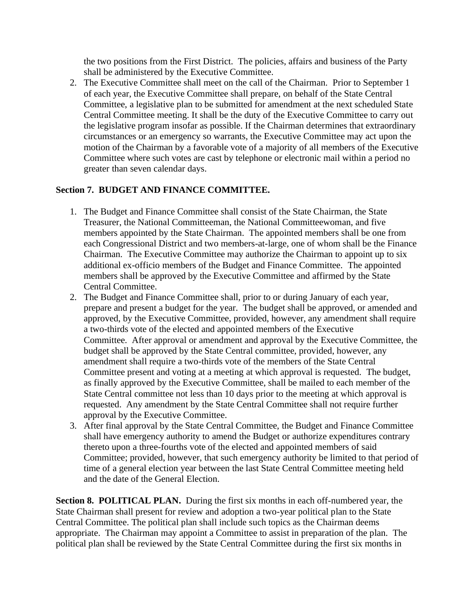the two positions from the First District. The policies, affairs and business of the Party shall be administered by the Executive Committee.

2. The Executive Committee shall meet on the call of the Chairman. Prior to September 1 of each year, the Executive Committee shall prepare, on behalf of the State Central Committee, a legislative plan to be submitted for amendment at the next scheduled State Central Committee meeting. It shall be the duty of the Executive Committee to carry out the legislative program insofar as possible. If the Chairman determines that extraordinary circumstances or an emergency so warrants, the Executive Committee may act upon the motion of the Chairman by a favorable vote of a majority of all members of the Executive Committee where such votes are cast by telephone or electronic mail within a period no greater than seven calendar days.

## **Section 7. BUDGET AND FINANCE COMMITTEE.**

- 1. The Budget and Finance Committee shall consist of the State Chairman, the State Treasurer, the National Committeeman, the National Committeewoman, and five members appointed by the State Chairman. The appointed members shall be one from each Congressional District and two members-at-large, one of whom shall be the Finance Chairman. The Executive Committee may authorize the Chairman to appoint up to six additional ex-officio members of the Budget and Finance Committee. The appointed members shall be approved by the Executive Committee and affirmed by the State Central Committee.
- 2. The Budget and Finance Committee shall, prior to or during January of each year, prepare and present a budget for the year. The budget shall be approved, or amended and approved, by the Executive Committee, provided, however, any amendment shall require a two-thirds vote of the elected and appointed members of the Executive Committee. After approval or amendment and approval by the Executive Committee, the budget shall be approved by the State Central committee, provided, however, any amendment shall require a two-thirds vote of the members of the State Central Committee present and voting at a meeting at which approval is requested. The budget, as finally approved by the Executive Committee, shall be mailed to each member of the State Central committee not less than 10 days prior to the meeting at which approval is requested. Any amendment by the State Central Committee shall not require further approval by the Executive Committee.
- 3. After final approval by the State Central Committee, the Budget and Finance Committee shall have emergency authority to amend the Budget or authorize expenditures contrary thereto upon a three-fourths vote of the elected and appointed members of said Committee; provided, however, that such emergency authority be limited to that period of time of a general election year between the last State Central Committee meeting held and the date of the General Election.

**Section 8. POLITICAL PLAN.** During the first six months in each off-numbered year, the State Chairman shall present for review and adoption a two-year political plan to the State Central Committee. The political plan shall include such topics as the Chairman deems appropriate. The Chairman may appoint a Committee to assist in preparation of the plan. The political plan shall be reviewed by the State Central Committee during the first six months in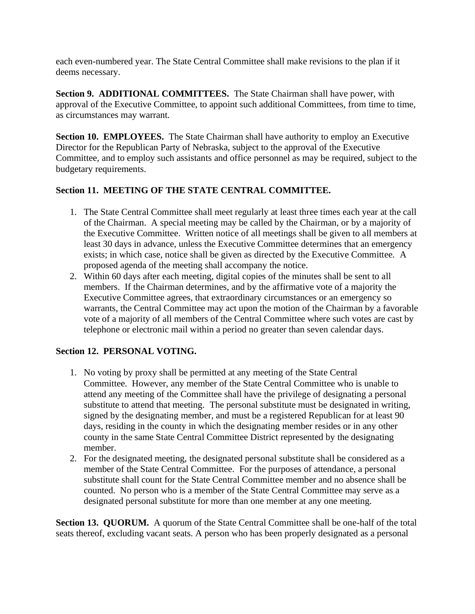each even-numbered year. The State Central Committee shall make revisions to the plan if it deems necessary.

**Section 9. ADDITIONAL COMMITTEES.** The State Chairman shall have power, with approval of the Executive Committee, to appoint such additional Committees, from time to time, as circumstances may warrant.

**Section 10. EMPLOYEES.** The State Chairman shall have authority to employ an Executive Director for the Republican Party of Nebraska, subject to the approval of the Executive Committee, and to employ such assistants and office personnel as may be required, subject to the budgetary requirements.

## **Section 11. MEETING OF THE STATE CENTRAL COMMITTEE.**

- 1. The State Central Committee shall meet regularly at least three times each year at the call of the Chairman. A special meeting may be called by the Chairman, or by a majority of the Executive Committee. Written notice of all meetings shall be given to all members at least 30 days in advance, unless the Executive Committee determines that an emergency exists; in which case, notice shall be given as directed by the Executive Committee. A proposed agenda of the meeting shall accompany the notice.
- 2. Within 60 days after each meeting, digital copies of the minutes shall be sent to all members. If the Chairman determines, and by the affirmative vote of a majority the Executive Committee agrees, that extraordinary circumstances or an emergency so warrants, the Central Committee may act upon the motion of the Chairman by a favorable vote of a majority of all members of the Central Committee where such votes are cast by telephone or electronic mail within a period no greater than seven calendar days.

# **Section 12. PERSONAL VOTING.**

- 1. No voting by proxy shall be permitted at any meeting of the State Central Committee. However, any member of the State Central Committee who is unable to attend any meeting of the Committee shall have the privilege of designating a personal substitute to attend that meeting. The personal substitute must be designated in writing, signed by the designating member, and must be a registered Republican for at least 90 days, residing in the county in which the designating member resides or in any other county in the same State Central Committee District represented by the designating member.
- 2. For the designated meeting, the designated personal substitute shall be considered as a member of the State Central Committee. For the purposes of attendance, a personal substitute shall count for the State Central Committee member and no absence shall be counted. No person who is a member of the State Central Committee may serve as a designated personal substitute for more than one member at any one meeting.

**Section 13. QUORUM.** A quorum of the State Central Committee shall be one-half of the total seats thereof, excluding vacant seats. A person who has been properly designated as a personal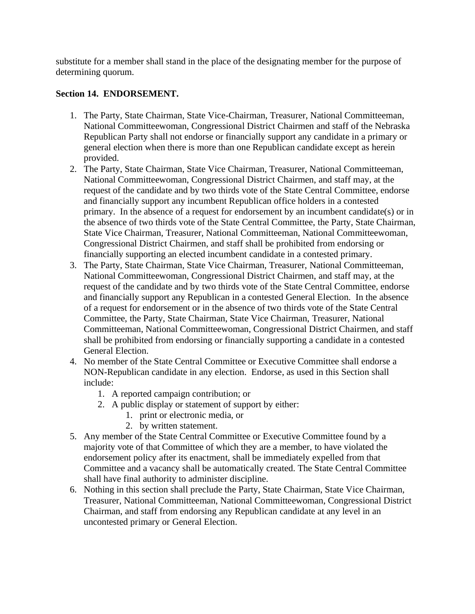substitute for a member shall stand in the place of the designating member for the purpose of determining quorum.

#### **Section 14. ENDORSEMENT.**

- 1. The Party, State Chairman, State Vice-Chairman, Treasurer, National Committeeman, National Committeewoman, Congressional District Chairmen and staff of the Nebraska Republican Party shall not endorse or financially support any candidate in a primary or general election when there is more than one Republican candidate except as herein provided.
- 2. The Party, State Chairman, State Vice Chairman, Treasurer, National Committeeman, National Committeewoman, Congressional District Chairmen, and staff may, at the request of the candidate and by two thirds vote of the State Central Committee, endorse and financially support any incumbent Republican office holders in a contested primary. In the absence of a request for endorsement by an incumbent candidate(s) or in the absence of two thirds vote of the State Central Committee, the Party, State Chairman, State Vice Chairman, Treasurer, National Committeeman, National Committeewoman, Congressional District Chairmen, and staff shall be prohibited from endorsing or financially supporting an elected incumbent candidate in a contested primary.
- 3. The Party, State Chairman, State Vice Chairman, Treasurer, National Committeeman, National Committeewoman, Congressional District Chairmen, and staff may, at the request of the candidate and by two thirds vote of the State Central Committee, endorse and financially support any Republican in a contested General Election. In the absence of a request for endorsement or in the absence of two thirds vote of the State Central Committee, the Party, State Chairman, State Vice Chairman, Treasurer, National Committeeman, National Committeewoman, Congressional District Chairmen, and staff shall be prohibited from endorsing or financially supporting a candidate in a contested General Election.
- 4. No member of the State Central Committee or Executive Committee shall endorse a NON-Republican candidate in any election. Endorse, as used in this Section shall include:
	- 1. A reported campaign contribution; or
	- 2. A public display or statement of support by either:
		- 1. print or electronic media, or
		- 2. by written statement.
- 5. Any member of the State Central Committee or Executive Committee found by a majority vote of that Committee of which they are a member, to have violated the endorsement policy after its enactment, shall be immediately expelled from that Committee and a vacancy shall be automatically created. The State Central Committee shall have final authority to administer discipline.
- 6. Nothing in this section shall preclude the Party, State Chairman, State Vice Chairman, Treasurer, National Committeeman, National Committeewoman, Congressional District Chairman, and staff from endorsing any Republican candidate at any level in an uncontested primary or General Election.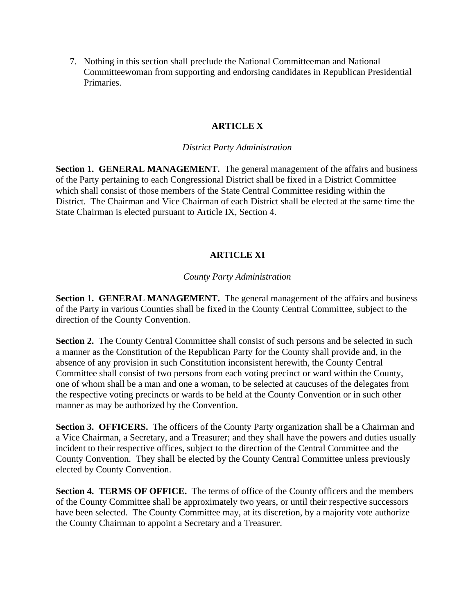7. Nothing in this section shall preclude the National Committeeman and National Committeewoman from supporting and endorsing candidates in Republican Presidential Primaries.

## **ARTICLE X**

#### *District Party Administration*

**Section 1. GENERAL MANAGEMENT.** The general management of the affairs and business of the Party pertaining to each Congressional District shall be fixed in a District Committee which shall consist of those members of the State Central Committee residing within the District. The Chairman and Vice Chairman of each District shall be elected at the same time the State Chairman is elected pursuant to Article IX, Section 4.

## **ARTICLE XI**

## *County Party Administration*

**Section 1. GENERAL MANAGEMENT.** The general management of the affairs and business of the Party in various Counties shall be fixed in the County Central Committee, subject to the direction of the County Convention.

**Section 2.** The County Central Committee shall consist of such persons and be selected in such a manner as the Constitution of the Republican Party for the County shall provide and, in the absence of any provision in such Constitution inconsistent herewith, the County Central Committee shall consist of two persons from each voting precinct or ward within the County, one of whom shall be a man and one a woman, to be selected at caucuses of the delegates from the respective voting precincts or wards to be held at the County Convention or in such other manner as may be authorized by the Convention.

**Section 3. OFFICERS.** The officers of the County Party organization shall be a Chairman and a Vice Chairman, a Secretary, and a Treasurer; and they shall have the powers and duties usually incident to their respective offices, subject to the direction of the Central Committee and the County Convention. They shall be elected by the County Central Committee unless previously elected by County Convention.

**Section 4. TERMS OF OFFICE.** The terms of office of the County officers and the members of the County Committee shall be approximately two years, or until their respective successors have been selected. The County Committee may, at its discretion, by a majority vote authorize the County Chairman to appoint a Secretary and a Treasurer.